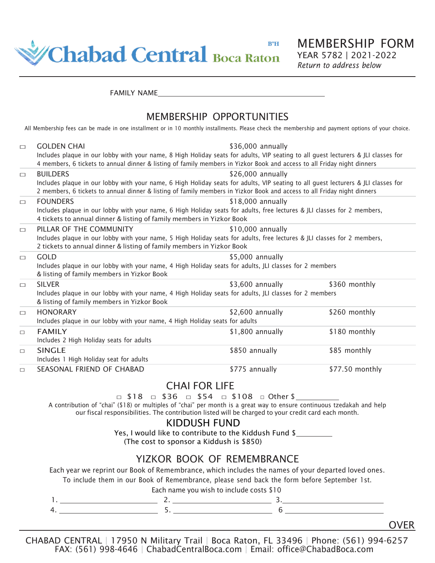

MEMBERSHIP FORM YEAR 5782 | 2021-2022 *Return to address below*

FAMILY NAME

### MEMBERSHIP OPPORTUNITIES

All Membership fees can be made in one installment or in 10 monthly installments. Please check the membership and payment options of your choice.

| $\Box$ | \$36,000 annually<br><b>GOLDEN CHAI</b><br>Includes plaque in our lobby with your name, 8 High Holiday seats for adults, VIP seating to all guest lecturers & JLI classes for<br>4 members, 6 tickets to annual dinner & listing of family members in Yizkor Book and access to all Friday night dinners |                   |                 |  |  |
|--------|----------------------------------------------------------------------------------------------------------------------------------------------------------------------------------------------------------------------------------------------------------------------------------------------------------|-------------------|-----------------|--|--|
| $\Box$ | <b>BUILDERS</b><br>Includes plaque in our lobby with your name, 6 High Holiday seats for adults, VIP seating to all guest lecturers & JLI classes for<br>2 members, 6 tickets to annual dinner & listing of family members in Yizkor Book and access to all Friday night dinners                         | \$26,000 annually |                 |  |  |
| $\Box$ | <b>FOUNDERS</b><br>Includes plaque in our lobby with your name, 6 High Holiday seats for adults, free lectures & JLI classes for 2 members,<br>4 tickets to annual dinner & listing of family members in Yizkor Book                                                                                     | \$18,000 annually |                 |  |  |
| $\Box$ | PILLAR OF THE COMMUNITY<br>Includes plaque in our lobby with your name, 5 High Holiday seats for adults, free lectures & JLI classes for 2 members,<br>2 tickets to annual dinner & listing of family members in Yizkor Book                                                                             | \$10,000 annually |                 |  |  |
| $\Box$ | <b>GOLD</b><br>Includes plaque in our lobby with your name, 4 High Holiday seats for adults, JLI classes for 2 members<br>& listing of family members in Yizkor Book                                                                                                                                     | \$5.000 annually  |                 |  |  |
| $\Box$ | <b>SILVER</b><br>Includes plaque in our lobby with your name, 4 High Holiday seats for adults, JLI classes for 2 members<br>& listing of family members in Yizkor Book                                                                                                                                   | \$3,600 annually  | \$360 monthly   |  |  |
| $\Box$ | <b>HONORARY</b><br>Includes plaque in our lobby with your name, 4 High Holiday seats for adults                                                                                                                                                                                                          | \$2,600 annually  | \$260 monthly   |  |  |
| $\Box$ | <b>FAMILY</b><br>Includes 2 High Holiday seats for adults                                                                                                                                                                                                                                                | \$1,800 annually  | \$180 monthly   |  |  |
| $\Box$ | <b>SINGLE</b><br>Includes 1 High Holiday seat for adults                                                                                                                                                                                                                                                 | \$850 annually    | \$85 monthly    |  |  |
| $\Box$ | SEASONAL FRIEND OF CHABAD                                                                                                                                                                                                                                                                                | \$775 annually    | \$77.50 monthly |  |  |

# CHAI FOR LIFE

□ \$18 □ \$36 □ \$54 □ \$108 □ Other \$

A contribution of "chai" (\$18) or multiples of "chai" per month is a great way to ensure continuous tzedakah and help our fiscal responsibilities. The contribution listed will be charged to your credit card each month.

# KIDDUSH FUND

Yes, I would like to contribute to the Kiddush Fund \$ (The cost to sponsor a Kiddush is \$850)

# YIZKOR BOOK OF REMEMBRANCE

Each year we reprint our Book of Remembrance, which includes the names of your departed loved ones.

To include them in our Book of Remembrance, please send back the form before September 1st.

Each name you wish to include costs \$10

CHABAD CENTRAL | 17950 N Military Trail | Boca Raton, FL 33496 | Phone: (561) 994-6257 FAX: (561) 998-4646 | ChabadCentralBoca.com | Email: [office@ChabadBoca.com](mailto:office@ChabadBoca.com)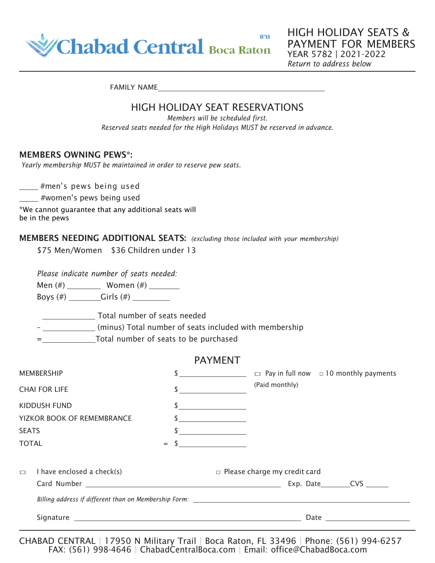

HIGH HOLIDAY SEATS & PAYMENT FOR MEMBERS YEAR 5782 | 2021-2022 *Return to address below*

FAMILY NAME

### HIGH HOLIDAY SEAT RESERVATIONS

*Members will be scheduled first. Reserved seats needed for the High Holidays MUST be reserved in advance.*

#### MEMBERS OWNING PEWS\*:

*Yearly membership MUST be maintained in order to reserve pew seats.*

#men's pews being used

**women's pews being used** 

\*We cannot guarantee that any additional seats will be in the pews

### MEMBERS NEEDING ADDITIONAL SEATS: *(excluding those included with your membership)*

\$75 Men/Women \$36 Children under 13

*Please indicate number of seats needed:*

Men (#) \_\_\_\_\_\_\_\_\_ Women (#) \_\_\_\_\_\_\_

Boys  $(\#)$  Girls  $(\#)$ 

Total number of seats needed

– (minus) Total number of seats included with membership

= Total number of seats to be purchased

### PAYMENT

| <b>MEMBERSHIP</b>          |                                                                                   |     | $\Box$ Pay in full now $\Box$ 10 monthly payments                                                                                                                                                                              |  |  |
|----------------------------|-----------------------------------------------------------------------------------|-----|--------------------------------------------------------------------------------------------------------------------------------------------------------------------------------------------------------------------------------|--|--|
| <b>CHAI FOR LIFE</b>       |                                                                                   | \$  | (Paid monthly)                                                                                                                                                                                                                 |  |  |
| KIDDUSH FUND               |                                                                                   |     |                                                                                                                                                                                                                                |  |  |
| YIZKOR BOOK OF REMEMBRANCE |                                                                                   |     |                                                                                                                                                                                                                                |  |  |
| <b>SEATS</b>               |                                                                                   |     |                                                                                                                                                                                                                                |  |  |
| <b>TOTAL</b>               |                                                                                   | $=$ |                                                                                                                                                                                                                                |  |  |
|                            |                                                                                   |     |                                                                                                                                                                                                                                |  |  |
| $\Box$                     | I have enclosed a check(s)                                                        |     | $\Box$ Please charge my credit card                                                                                                                                                                                            |  |  |
|                            |                                                                                   |     | Exp. Date CVS                                                                                                                                                                                                                  |  |  |
|                            | Billing address if different than on Membership Form: ___________________________ |     |                                                                                                                                                                                                                                |  |  |
|                            |                                                                                   |     | Date and the contract of the contract of the contract of the contract of the contract of the contract of the contract of the contract of the contract of the contract of the contract of the contract of the contract of the c |  |  |
|                            |                                                                                   |     |                                                                                                                                                                                                                                |  |  |

CHABAD CENTRAL | 17950 N Military Trail | Boca Raton, FL 33496 | Phone: (561) 994-6257 FAX: (561) 998-4646 | ChabadCentralBoca.com | Email: [office@ChabadBoca.com](mailto:office@ChabadBoca.com)